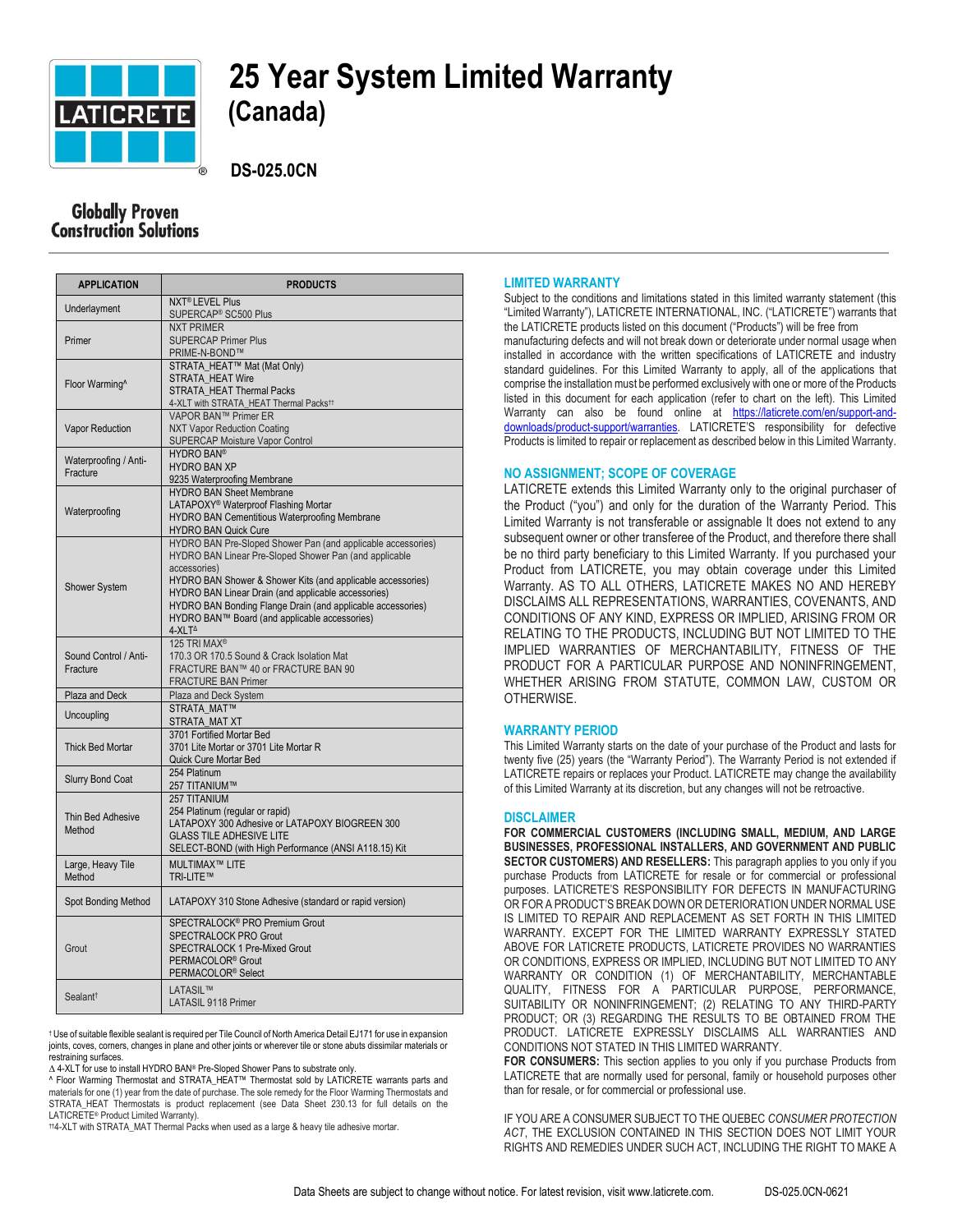

# **25 Year System Limited Warranty**

 **DS-025.0CN**

## **Globally Proven Construction Solutions**

| <b>APPLICATION</b>                | <b>PRODUCTS</b>                                                                             |
|-----------------------------------|---------------------------------------------------------------------------------------------|
| Underlayment                      | <b>NXT<sup>®</sup> LEVEL Plus</b><br>SUPERCAP <sup>®</sup> SC500 Plus                       |
| Primer                            | <b>NXT PRIMER</b>                                                                           |
|                                   | <b>SUPERCAP Primer Plus</b>                                                                 |
|                                   | PRIME-N-BOND™                                                                               |
| Floor Warming^                    | STRATA HEAT™ Mat (Mat Only)                                                                 |
|                                   | <b>STRATA HEAT Wire</b>                                                                     |
|                                   | STRATA HEAT Thermal Packs<br>4-XLT with STRATA_HEAT Thermal Packs <sup>11</sup>             |
| <b>Vapor Reduction</b>            | VAPOR BAN™ Primer ER                                                                        |
|                                   | <b>NXT Vapor Reduction Coating</b>                                                          |
|                                   | <b>SUPERCAP Moisture Vapor Control</b>                                                      |
| Waterproofing / Anti-<br>Fracture | <b>HYDRO BAN®</b>                                                                           |
|                                   | <b>HYDRO BAN XP</b>                                                                         |
|                                   | 9235 Waterproofing Membrane                                                                 |
| Waterproofing                     | <b>HYDRO BAN Sheet Membrane</b>                                                             |
|                                   | LATAPOXY <sup>®</sup> Waterproof Flashing Mortar                                            |
|                                   | HYDRO BAN Cementitious Waterproofing Membrane                                               |
|                                   | <b>HYDRO BAN Quick Cure</b><br>HYDRO BAN Pre-Sloped Shower Pan (and applicable accessories) |
| <b>Shower System</b>              | HYDRO BAN Linear Pre-Sloped Shower Pan (and applicable                                      |
|                                   | accessories)                                                                                |
|                                   | HYDRO BAN Shower & Shower Kits (and applicable accessories)                                 |
|                                   | HYDRO BAN Linear Drain (and applicable accessories)                                         |
|                                   | HYDRO BAN Bonding Flange Drain (and applicable accessories)                                 |
|                                   | HYDRO BAN™ Board (and applicable accessories)                                               |
|                                   | 4-XLT <sup>^</sup>                                                                          |
| Sound Control / Anti-<br>Fracture | 125 TRI MAX <sup>®</sup>                                                                    |
|                                   | 170.3 OR 170.5 Sound & Crack Isolation Mat<br>FRACTURE BAN™ 40 or FRACTURE BAN 90           |
|                                   | <b>FRACTURE BAN Primer</b>                                                                  |
| Plaza and Deck                    | Plaza and Deck System                                                                       |
| Uncoupling                        | <b>STRATA MAT™</b>                                                                          |
|                                   | STRATA MAT XT                                                                               |
| <b>Thick Bed Mortar</b>           | 3701 Fortified Mortar Bed                                                                   |
|                                   | 3701 Lite Mortar or 3701 Lite Mortar R                                                      |
|                                   | Quick Cure Mortar Bed                                                                       |
| <b>Slurry Bond Coat</b>           | 254 Platinum                                                                                |
|                                   | 257 TITANIUM™                                                                               |
| Thin Bed Adhesive<br>Method       | 257 TITANIUM                                                                                |
|                                   | 254 Platinum (regular or rapid)<br>LATAPOXY 300 Adhesive or LATAPOXY BIOGREEN 300           |
|                                   | <b>GLASS TILE ADHESIVE LITE</b>                                                             |
|                                   | SELECT-BOND (with High Performance (ANSI A118.15) Kit                                       |
| Large, Heavy Tile                 | MULTIMAX™ LITE                                                                              |
| Method                            | TRI-LITE™                                                                                   |
| Spot Bonding Method               | LATAPOXY 310 Stone Adhesive (standard or rapid version)                                     |
| Grout                             | SPECTRALOCK <sup>®</sup> PRO Premium Grout                                                  |
|                                   | SPECTRALOCK PRO Grout                                                                       |
|                                   | <b>SPECTRALOCK 1 Pre-Mixed Grout</b>                                                        |
|                                   | PERMACOLOR <sup>®</sup> Grout                                                               |
|                                   | PERMACOLOR <sup>®</sup> Select                                                              |
| Sealant <sup>t</sup>              | <b>LATASIL™</b>                                                                             |
|                                   | <b>LATASIL 9118 Primer</b>                                                                  |

† Use of suitable flexible sealant is required per Tile Council of North America Detail EJ171 for use in expansion joints, coves, corners, changes in plane and other joints or wherever tile or stone abuts dissimilar materials or restraining surfaces.

∆ 4-XLT for use to install HYDRO BAN® Pre-Sloped Shower Pans to substrate only.

^ Floor Warming Thermostat and STRATA\_HEAT™ Thermostat sold by LATICRETE warrants parts and materials for one (1) year from the date of purchase. The sole remedy for the Floor Warming Thermostats and STRATA\_HEAT Thermostats is product replacement (see Data Sheet 230.13 for full details on the LATICRETE® Product Limited Warranty).

††4-XLT with STRATA\_MAT Thermal Packs when used as a large & heavy tile adhesive mortar.

#### **LIMITED WARRANTY**

Subject to the conditions and limitations stated in this limited warranty statement (this "Limited Warranty"), LATICRETE INTERNATIONAL, INC. ("LATICRETE") warrants that the LATICRETE products listed on this document ("Products") will be free from manufacturing defects and will not break down or deteriorate under normal usage when installed in accordance with the written specifications of LATICRETE and industry standard guidelines. For this Limited Warranty to apply, all of the applications that comprise the installation must be performed exclusively with one or more of the Products listed in this document for each application (refer to chart on the left). This Limited Warranty can also be found online at [https://laticrete.com/en/support-and](https://laticrete.com/en/support-and-downloads/product-support/warranties)[downloads/product-support/warranties.](https://laticrete.com/en/support-and-downloads/product-support/warranties) LATICRETE'S responsibility for defective Products is limited to repair or replacement as described below in this Limited Warranty.

#### **NO ASSIGNMENT; SCOPE OF COVERAGE**

LATICRETE extends this Limited Warranty only to the original purchaser of the Product ("you") and only for the duration of the Warranty Period. This Limited Warranty is not transferable or assignable It does not extend to any subsequent owner or other transferee of the Product, and therefore there shall be no third party beneficiary to this Limited Warranty. If you purchased your Product from LATICRETE, you may obtain coverage under this Limited Warranty. AS TO ALL OTHERS, LATICRETE MAKES NO AND HEREBY DISCLAIMS ALL REPRESENTATIONS, WARRANTIES, COVENANTS, AND CONDITIONS OF ANY KIND, EXPRESS OR IMPLIED, ARISING FROM OR RELATING TO THE PRODUCTS, INCLUDING BUT NOT LIMITED TO THE IMPLIED WARRANTIES OF MERCHANTABILITY, FITNESS OF THE PRODUCT FOR A PARTICULAR PURPOSE AND NONINFRINGEMENT, WHETHER ARISING FROM STATUTE, COMMON LAW, CUSTOM OR OTHERWISE.

#### **WARRANTY PERIOD**

This Limited Warranty starts on the date of your purchase of the Product and lasts for twenty five (25) years (the "Warranty Period"). The Warranty Period is not extended if LATICRETE repairs or replaces your Product. LATICRETE may change the availability of this Limited Warranty at its discretion, but any changes will not be retroactive.

#### **DISCLAIMER**

**FOR COMMERCIAL CUSTOMERS (INCLUDING SMALL, MEDIUM, AND LARGE BUSINESSES, PROFESSIONAL INSTALLERS, AND GOVERNMENT AND PUBLIC SECTOR CUSTOMERS) AND RESELLERS:** This paragraph applies to you only if you purchase Products from LATICRETE for resale or for commercial or professional purposes. LATICRETE'S RESPONSIBILITY FOR DEFECTS IN MANUFACTURING OR FOR A PRODUCT'S BREAK DOWN OR DETERIORATION UNDER NORMAL USE IS LIMITED TO REPAIR AND REPLACEMENT AS SET FORTH IN THIS LIMITED WARRANTY. EXCEPT FOR THE LIMITED WARRANTY EXPRESSLY STATED ABOVE FOR LATICRETE PRODUCTS, LATICRETE PROVIDES NO WARRANTIES OR CONDITIONS, EXPRESS OR IMPLIED, INCLUDING BUT NOT LIMITED TO ANY WARRANTY OR CONDITION (1) OF MERCHANTABILITY, MERCHANTABLE QUALITY, FITNESS FOR A PARTICULAR PURPOSE, PERFORMANCE, SUITABILITY OR NONINFRINGEMENT; (2) RELATING TO ANY THIRD-PARTY PRODUCT; OR (3) REGARDING THE RESULTS TO BE OBTAINED FROM THE PRODUCT. LATICRETE EXPRESSLY DISCLAIMS ALL WARRANTIES AND CONDITIONS NOT STATED IN THIS LIMITED WARRANTY.

**FOR CONSUMERS:** This section applies to you only if you purchase Products from LATICRETE that are normally used for personal, family or household purposes other than for resale, or for commercial or professional use.

IF YOU ARE A CONSUMER SUBJECT TO THE QUEBEC *CONSUMER PROTECTION ACT*, THE EXCLUSION CONTAINED IN THIS SECTION DOES NOT LIMIT YOUR RIGHTS AND REMEDIES UNDER SUCH ACT, INCLUDING THE RIGHT TO MAKE A